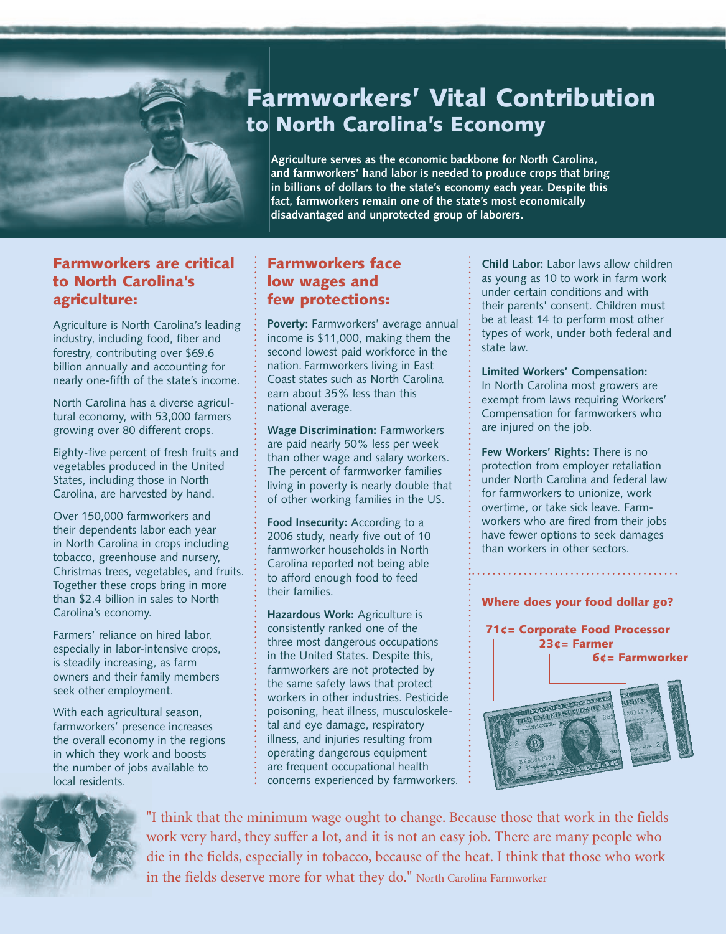

# Farmworkers' Vital Contribution to North Carolina's Economy

**Agriculture serves as the economic backbone for North Carolina, and farmworkers' hand labor is needed to produce crops that bring in billions of dollars to the state's economy each year. Despite this fact, farmworkers remain one of the state's most economically disadvantaged and unprotected group of laborers.** 

#### Farmworkers are critical to North Carolina's agriculture:

Agriculture is North Carolina's leading industry, including food, fiber and forestry, contributing over \$69.6 billion annually and accounting for nearly one-fifth of the state's income.

North Carolina has a diverse agricultural economy, with 53,000 farmers growing over 80 different crops.

Eighty-five percent of fresh fruits and vegetables produced in the United States, including those in North Carolina, are harvested by hand.

Over 150,000 farmworkers and their dependents labor each year in North Carolina in crops including tobacco, greenhouse and nursery, Christmas trees, vegetables, and fruits. Together these crops bring in more than \$2.4 billion in sales to North Carolina's economy.

Farmers' reliance on hired labor, especially in labor-intensive crops, is steadily increasing, as farm owners and their family members seek other employment.

With each agricultural season, farmworkers' presence increases the overall economy in the regions in which they work and boosts the number of jobs available to local residents.

#### Farmworkers face low wages and few protections:

**Poverty:** Farmworkers' average annual income is \$11,000, making them the second lowest paid workforce in the nation. Farmworkers living in East Coast states such as North Carolina earn about 35% less than this national average.

**Wage Discrimination:** Farmworkers are paid nearly 50% less per week than other wage and salary workers. The percent of farmworker families living in poverty is nearly double that of other working families in the US.

Food Insecurity: According to a 2006 study, nearly five out of 10 farmworker households in North Carolina reported not being able to afford enough food to feed their families.

**Hazardous Work:** Agriculture is consistently ranked one of the three most dangerous occupations in the United States. Despite this, farmworkers are not protected by the same safety laws that protect workers in other industries. Pesticide poisoning, heat illness, musculoskeletal and eye damage, respiratory illness, and injuries resulting from operating dangerous equipment are frequent occupational health concerns experienced by farmworkers. **Child Labor:** Labor laws allow children as young as 10 to work in farm work under certain conditions and with their parents' consent. Children must be at least 14 to perform most other types of work, under both federal and state law.

**Limited Workers' Compensation:**  In North Carolina most growers are exempt from laws requiring Workers' Compensation for farmworkers who are injured on the job.

**Few Workers' Rights:** There is no protection from employer retaliation under North Carolina and federal law for farmworkers to unionize, work overtime, or take sick leave. Farmworkers who are fired from their jobs have fewer options to seek damages than workers in other sectors.

Where does your food dollar go?





"I think that the minimum wage ought to change. Because those that work in the fields work very hard, they suffer a lot, and it is not an easy job. There are many people who die in the fields, especially in tobacco, because of the heat. I think that those who work in the fields deserve more for what they do." North Carolina Farmworker